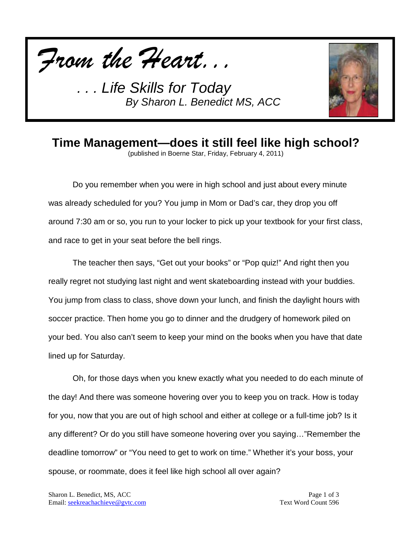



## **Time Management—does it still feel like high school?**

(published in Boerne Star, Friday, February 4, 2011)

Do you remember when you were in high school and just about every minute was already scheduled for you? You jump in Mom or Dad's car, they drop you off around 7:30 am or so, you run to your locker to pick up your textbook for your first class, and race to get in your seat before the bell rings.

The teacher then says, "Get out your books" or "Pop quiz!" And right then you really regret not studying last night and went skateboarding instead with your buddies. You jump from class to class, shove down your lunch, and finish the daylight hours with soccer practice. Then home you go to dinner and the drudgery of homework piled on your bed. You also can't seem to keep your mind on the books when you have that date lined up for Saturday.

Oh, for those days when you knew exactly what you needed to do each minute of the day! And there was someone hovering over you to keep you on track. How is today for you, now that you are out of high school and either at college or a full-time job? Is it any different? Or do you still have someone hovering over you saying…"Remember the deadline tomorrow" or "You need to get to work on time." Whether it's your boss, your spouse, or roommate, does it feel like high school all over again?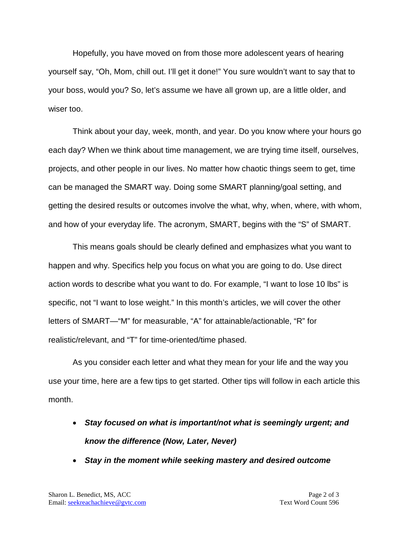Hopefully, you have moved on from those more adolescent years of hearing yourself say, "Oh, Mom, chill out. I'll get it done!" You sure wouldn't want to say that to your boss, would you? So, let's assume we have all grown up, are a little older, and wiser too.

Think about your day, week, month, and year. Do you know where your hours go each day? When we think about time management, we are trying time itself, ourselves, projects, and other people in our lives. No matter how chaotic things seem to get, time can be managed the SMART way. Doing some SMART planning/goal setting, and getting the desired results or outcomes involve the what, why, when, where, with whom, and how of your everyday life. The acronym, SMART, begins with the "S" of SMART.

This means goals should be clearly defined and emphasizes what you want to happen and why. Specifics help you focus on what you are going to do. Use direct action words to describe what you want to do. For example, "I want to lose 10 lbs" is specific, not "I want to lose weight." In this month's articles, we will cover the other letters of SMART—"M" for measurable, "A" for attainable/actionable, "R" for realistic/relevant, and "T" for time-oriented/time phased.

As you consider each letter and what they mean for your life and the way you use your time, here are a few tips to get started. Other tips will follow in each article this month.

- *Stay focused on what is important/not what is seemingly urgent; and know the difference (Now, Later, Never)*
- *Stay in the moment while seeking mastery and desired outcome*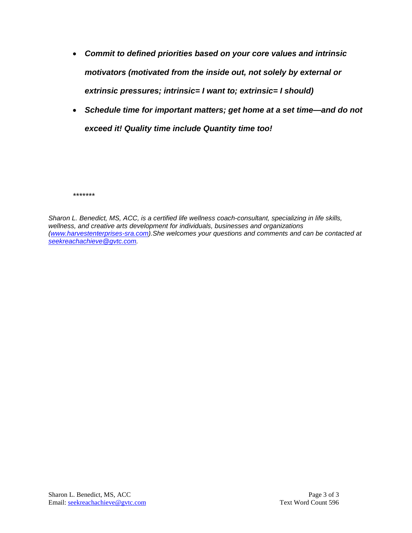- *Commit to defined priorities based on your core values and intrinsic motivators (motivated from the inside out, not solely by external or extrinsic pressures; intrinsic= I want to; extrinsic= I should)*
- *Schedule time for important matters; get home at a set time—and do not exceed it! Quality time include Quantity time too!*

*\*\*\*\*\*\*\**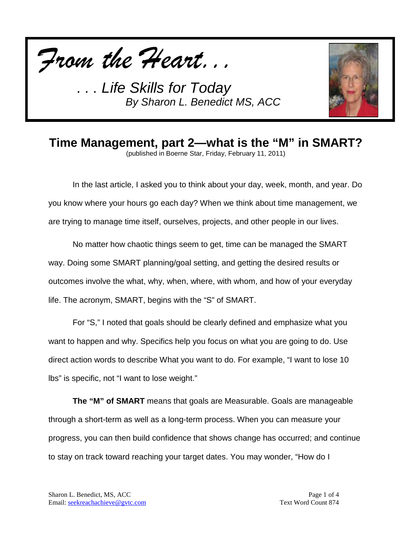



## **Time Management, part 2—what is the "M" in SMART?**

(published in Boerne Star, Friday, February 11, 2011)

In the last article, I asked you to think about your day, week, month, and year. Do you know where your hours go each day? When we think about time management, we are trying to manage time itself, ourselves, projects, and other people in our lives.

No matter how chaotic things seem to get, time can be managed the SMART way. Doing some SMART planning/goal setting, and getting the desired results or outcomes involve the what, why, when, where, with whom, and how of your everyday life. The acronym, SMART, begins with the "S" of SMART.

For "S," I noted that goals should be clearly defined and emphasize what you want to happen and why. Specifics help you focus on what you are going to do. Use direct action words to describe What you want to do. For example, "I want to lose 10 lbs" is specific, not "I want to lose weight."

**The "M" of SMART** means that goals are Measurable. Goals are manageable through a short-term as well as a long-term process. When you can measure your progress, you can then build confidence that shows change has occurred; and continue to stay on track toward reaching your target dates. You may wonder, "How do I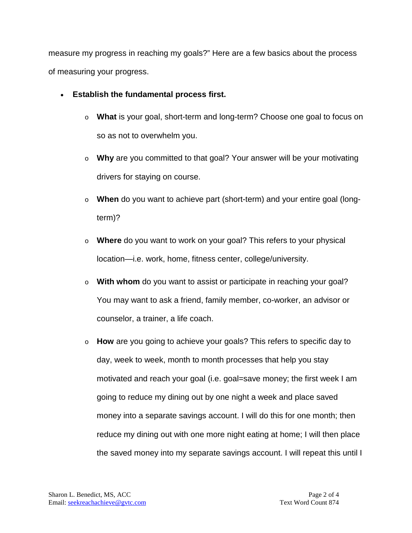measure my progress in reaching my goals?" Here are a few basics about the process of measuring your progress.

- **Establish the fundamental process first.** 
	- o **What** is your goal, short-term and long-term? Choose one goal to focus on so as not to overwhelm you.
	- o **Why** are you committed to that goal? Your answer will be your motivating drivers for staying on course.
	- o **When** do you want to achieve part (short-term) and your entire goal (longterm)?
	- o **Where** do you want to work on your goal? This refers to your physical location—i.e. work, home, fitness center, college/university.
	- o **With whom** do you want to assist or participate in reaching your goal? You may want to ask a friend, family member, co-worker, an advisor or counselor, a trainer, a life coach.
	- o **How** are you going to achieve your goals? This refers to specific day to day, week to week, month to month processes that help you stay motivated and reach your goal (i.e. goal=save money; the first week I am going to reduce my dining out by one night a week and place saved money into a separate savings account. I will do this for one month; then reduce my dining out with one more night eating at home; I will then place the saved money into my separate savings account. I will repeat this until I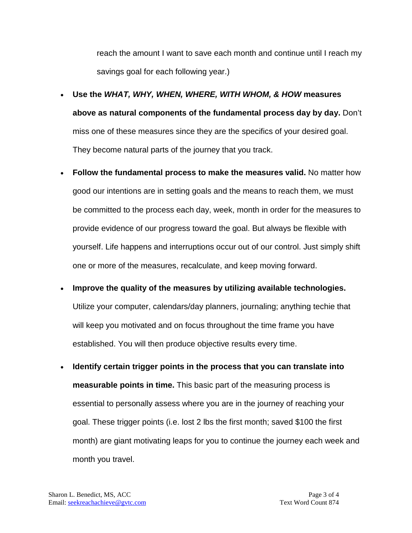reach the amount I want to save each month and continue until I reach my savings goal for each following year.)

- **Use the** *WHAT, WHY, WHEN, WHERE, WITH WHOM, & HOW* **measures above as natural components of the fundamental process day by day.** Don't miss one of these measures since they are the specifics of your desired goal. They become natural parts of the journey that you track.
- **Follow the fundamental process to make the measures valid.** No matter how good our intentions are in setting goals and the means to reach them, we must be committed to the process each day, week, month in order for the measures to provide evidence of our progress toward the goal. But always be flexible with yourself. Life happens and interruptions occur out of our control. Just simply shift one or more of the measures, recalculate, and keep moving forward.
- **Improve the quality of the measures by utilizing available technologies.**  Utilize your computer, calendars/day planners, journaling; anything techie that will keep you motivated and on focus throughout the time frame you have established. You will then produce objective results every time.
- **Identify certain trigger points in the process that you can translate into measurable points in time.** This basic part of the measuring process is essential to personally assess where you are in the journey of reaching your goal. These trigger points (i.e. lost 2 lbs the first month; saved \$100 the first month) are giant motivating leaps for you to continue the journey each week and month you travel.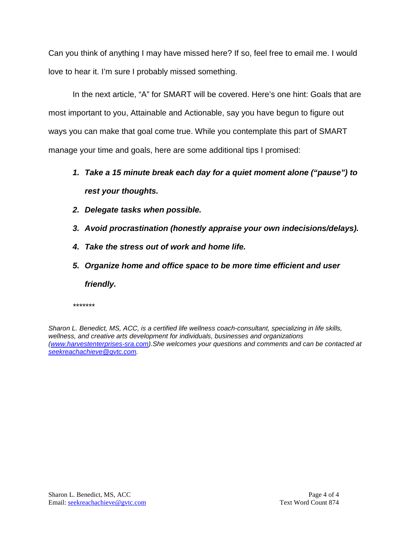Can you think of anything I may have missed here? If so, feel free to email me. I would love to hear it. I'm sure I probably missed something.

In the next article, "A" for SMART will be covered. Here's one hint: Goals that are most important to you, Attainable and Actionable, say you have begun to figure out ways you can make that goal come true. While you contemplate this part of SMART manage your time and goals, here are some additional tips I promised:

## *1. Take a 15 minute break each day for a quiet moment alone ("pause") to rest your thoughts.*

- *2. Delegate tasks when possible.*
- *3. Avoid procrastination (honestly appraise your own indecisions/delays).*
- *4. Take the stress out of work and home life.*
- *5. Organize home and office space to be more time efficient and user friendly.*

*\*\*\*\*\*\*\**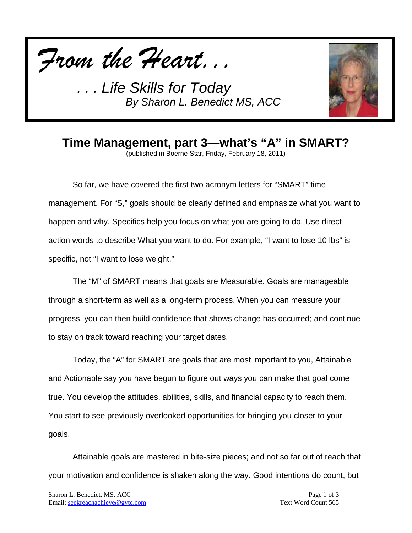



**Time Management, part 3—what's "A" in SMART?**

(published in Boerne Star, Friday, February 18, 2011)

So far, we have covered the first two acronym letters for "SMART" time management. For "S," goals should be clearly defined and emphasize what you want to happen and why. Specifics help you focus on what you are going to do. Use direct action words to describe What you want to do. For example, "I want to lose 10 lbs" is specific, not "I want to lose weight."

The "M" of SMART means that goals are Measurable. Goals are manageable through a short-term as well as a long-term process. When you can measure your progress, you can then build confidence that shows change has occurred; and continue to stay on track toward reaching your target dates.

Today, the "A" for SMART are goals that are most important to you, Attainable and Actionable say you have begun to figure out ways you can make that goal come true. You develop the attitudes, abilities, skills, and financial capacity to reach them. You start to see previously overlooked opportunities for bringing you closer to your goals.

Attainable goals are mastered in bite-size pieces; and not so far out of reach that your motivation and confidence is shaken along the way. Good intentions do count, but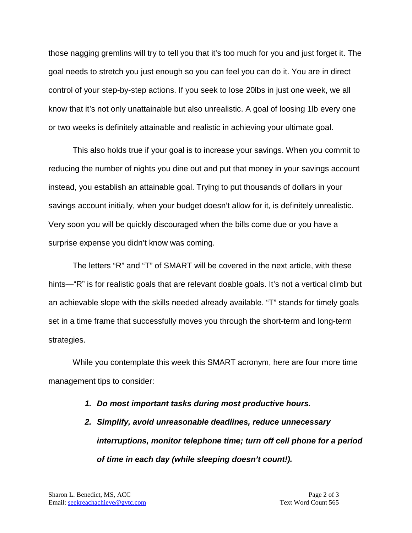those nagging gremlins will try to tell you that it's too much for you and just forget it. The goal needs to stretch you just enough so you can feel you can do it. You are in direct control of your step-by-step actions. If you seek to lose 20lbs in just one week, we all know that it's not only unattainable but also unrealistic. A goal of loosing 1lb every one or two weeks is definitely attainable and realistic in achieving your ultimate goal.

This also holds true if your goal is to increase your savings. When you commit to reducing the number of nights you dine out and put that money in your savings account instead, you establish an attainable goal. Trying to put thousands of dollars in your savings account initially, when your budget doesn't allow for it, is definitely unrealistic. Very soon you will be quickly discouraged when the bills come due or you have a surprise expense you didn't know was coming.

The letters "R" and "T" of SMART will be covered in the next article, with these hints—"R" is for realistic goals that are relevant doable goals. It's not a vertical climb but an achievable slope with the skills needed already available. "T" stands for timely goals set in a time frame that successfully moves you through the short-term and long-term strategies.

While you contemplate this week this SMART acronym, here are four more time management tips to consider:

- *1. Do most important tasks during most productive hours.*
- *2. Simplify, avoid unreasonable deadlines, reduce unnecessary interruptions, monitor telephone time; turn off cell phone for a period of time in each day (while sleeping doesn't count!).*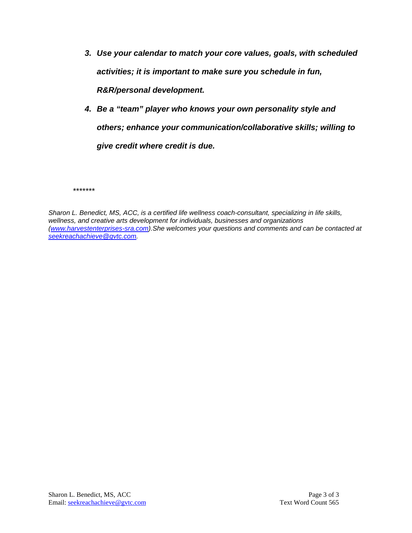- *3. Use your calendar to match your core values, goals, with scheduled activities; it is important to make sure you schedule in fun, R&R/personal development.*
- *4. Be a "team" player who knows your own personality style and others; enhance your communication/collaborative skills; willing to give credit where credit is due.*

*\*\*\*\*\*\*\**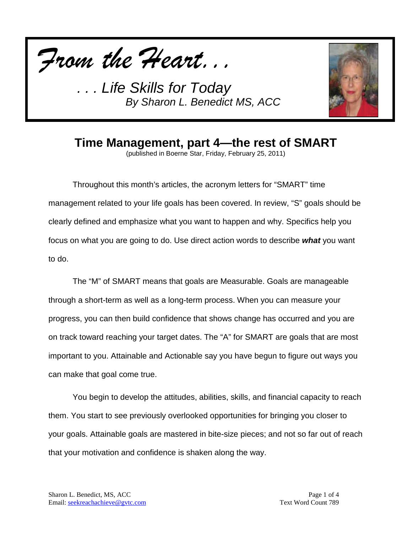



**Time Management, part 4—the rest of SMART**

(published in Boerne Star, Friday, February 25, 2011)

Throughout this month's articles, the acronym letters for "SMART" time management related to your life goals has been covered. In review, "S" goals should be clearly defined and emphasize what you want to happen and why. Specifics help you focus on what you are going to do. Use direct action words to describe *what* you want to do.

The "M" of SMART means that goals are Measurable. Goals are manageable through a short-term as well as a long-term process. When you can measure your progress, you can then build confidence that shows change has occurred and you are on track toward reaching your target dates. The "A" for SMART are goals that are most important to you. Attainable and Actionable say you have begun to figure out ways you can make that goal come true.

You begin to develop the attitudes, abilities, skills, and financial capacity to reach them. You start to see previously overlooked opportunities for bringing you closer to your goals. Attainable goals are mastered in bite-size pieces; and not so far out of reach that your motivation and confidence is shaken along the way.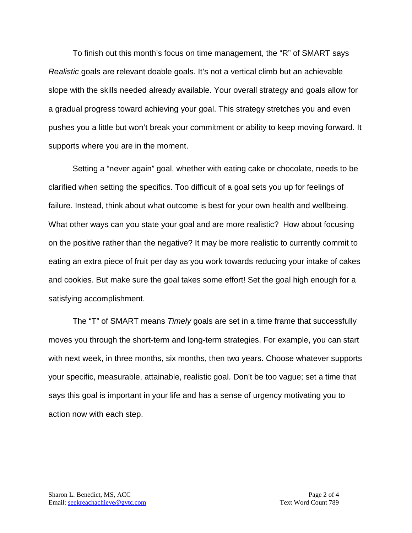To finish out this month's focus on time management, the "R" of SMART says *Realistic* goals are relevant doable goals. It's not a vertical climb but an achievable slope with the skills needed already available. Your overall strategy and goals allow for a gradual progress toward achieving your goal. This strategy stretches you and even pushes you a little but won't break your commitment or ability to keep moving forward. It supports where you are in the moment.

Setting a "never again" goal, whether with eating cake or chocolate, needs to be clarified when setting the specifics. Too difficult of a goal sets you up for feelings of failure. Instead, think about what outcome is best for your own health and wellbeing. What other ways can you state your goal and are more realistic? How about focusing on the positive rather than the negative? It may be more realistic to currently commit to eating an extra piece of fruit per day as you work towards reducing your intake of cakes and cookies. But make sure the goal takes some effort! Set the goal high enough for a satisfying accomplishment.

The "T" of SMART means *Timely* goals are set in a time frame that successfully moves you through the short-term and long-term strategies. For example, you can start with next week, in three months, six months, then two years. Choose whatever supports your specific, measurable, attainable, realistic goal. Don't be too vague; set a time that says this goal is important in your life and has a sense of urgency motivating you to action now with each step.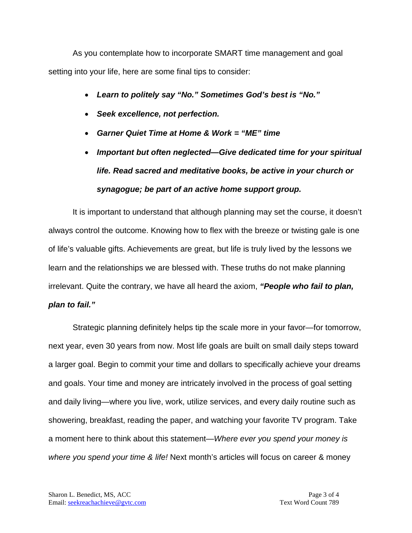As you contemplate how to incorporate SMART time management and goal setting into your life, here are some final tips to consider:

- *Learn to politely say "No." Sometimes God's best is "No."*
- *Seek excellence, not perfection.*
- *Garner Quiet Time at Home & Work = "ME" time*
- *Important but often neglected—Give dedicated time for your spiritual life. Read sacred and meditative books, be active in your church or synagogue; be part of an active home support group.*

It is important to understand that although planning may set the course, it doesn't always control the outcome. Knowing how to flex with the breeze or twisting gale is one of life's valuable gifts. Achievements are great, but life is truly lived by the lessons we learn and the relationships we are blessed with. These truths do not make planning irrelevant. Quite the contrary, we have all heard the axiom, *"People who fail to plan, plan to fail."* 

Strategic planning definitely helps tip the scale more in your favor—for tomorrow, next year, even 30 years from now. Most life goals are built on small daily steps toward a larger goal. Begin to commit your time and dollars to specifically achieve your dreams and goals. Your time and money are intricately involved in the process of goal setting and daily living—where you live, work, utilize services, and every daily routine such as showering, breakfast, reading the paper, and watching your favorite TV program. Take a moment here to think about this statement—*Where ever you spend your money is where you spend your time & life!* Next month's articles will focus on career & money